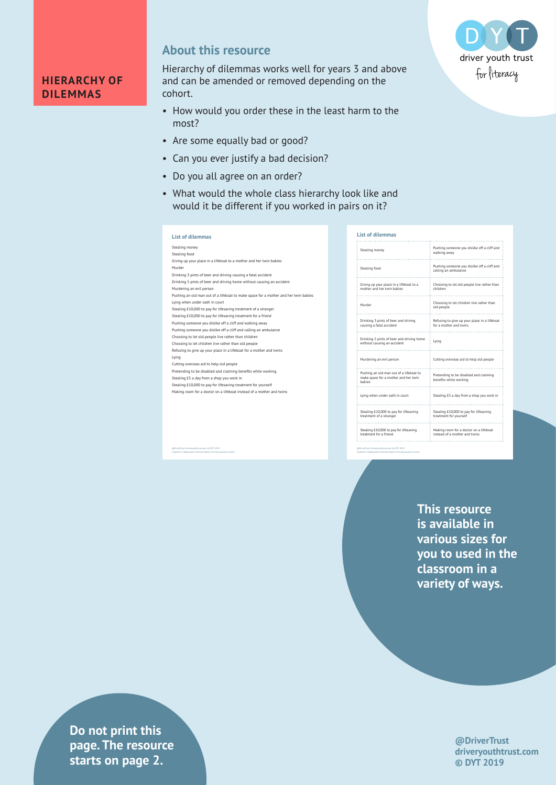## **HIERARCHY OF DILEMMAS**

**About this resource**

Hierarchy of dilemmas works well for years 3 and above and can be amended or removed depending on the cohort.

- How would you order these in the least harm to the most?
- Are some equally bad or good?
- Can you ever justify a bad decision?
- Do you all agree on an order?
- What would the whole class hierarchy look like and would it be different if you worked in pairs on it?

## **List of dilemmas** Stealing money Stealing food Giving up your place in a lifeboat to a mother and her twin babies Murder Drinking 3 pints of beer and driving causing a fatal accident Drinking 5 pints of beer and driving home without causing an accident Murdering an evil person Pushing an old man out of a lifeboat to make space for a mother and her twin babies Lying when under oath in court Stealing £10,000 to pay for lifesaving treatment of a stranger Stealing £10,000 to pay for lifesaving treatment for a friend Pushing someone you dislike off a cliff and walking away Pushing someone you dislike off a cliff and calling an ambulance Choosing to let old people live rather than children Choosing to let children live rather than old people Refusing to give up your place in a lifeboat for a mother and twins Lying Cutting overseas aid to help old people Pretending to be disabled and claiming benefits while working Stealing £5 a day from a shop you work in Stealing £10,000 to pay for lifesaving treatment for yourself Making room for a doctor on a lifeboat instead of a mother and twins

@DriverTrust | driveryouthtrust.com | © DYT 2019 Created in collaboration with Jan Downs of Communicate to Learn

| Pushing someone you dislike off a cliff and<br>walking away             |
|-------------------------------------------------------------------------|
| Pushing someone you dislike off a cliff and<br>calling an ambulance     |
| Choosing to let old people live rather than<br>children                 |
| Choosing to let children live rather than<br>old people                 |
| Refusing to give up your place in a lifeboat<br>for a mother and twins  |
| Lying                                                                   |
| Cutting overseas aid to help old people                                 |
| Pretending to be disabled and claiming<br>benefits while working        |
| Stealing £5 a day from a shop you work in                               |
| Stealing £10,000 to pay for lifesaving<br>treatment for yourself        |
| Making room for a doctor on a lifeboat<br>instead of a mother and twins |
|                                                                         |

Created in collaboration with Jan Downs of Communicate to Learn

**This resource is available in various sizes for you to used in the classroom in a variety of ways.**

> **@DriverTrust driveryouthtrust.com © DYT 2019**

**Privers 2** drivers page. The resource **Exercise in collaboration with Aasters on page 2. Do not print this** 

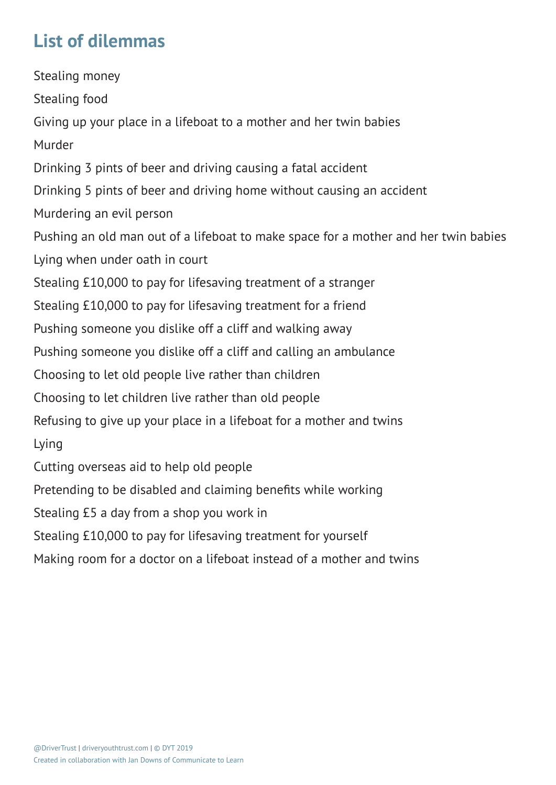## **List of dilemmas**

Stealing money Stealing food Giving up your place in a lifeboat to a mother and her twin babies Murder Drinking 3 pints of beer and driving causing a fatal accident Drinking 5 pints of beer and driving home without causing an accident Murdering an evil person Pushing an old man out of a lifeboat to make space for a mother and her twin babies Lying when under oath in court Stealing £10,000 to pay for lifesaving treatment of a stranger Stealing £10,000 to pay for lifesaving treatment for a friend Pushing someone you dislike off a cliff and walking away Pushing someone you dislike off a cliff and calling an ambulance Choosing to let old people live rather than children Choosing to let children live rather than old people Refusing to give up your place in a lifeboat for a mother and twins Lying Cutting overseas aid to help old people Pretending to be disabled and claiming benefits while working Stealing £5 a day from a shop you work in Stealing £10,000 to pay for lifesaving treatment for yourself Making room for a doctor on a lifeboat instead of a mother and twins